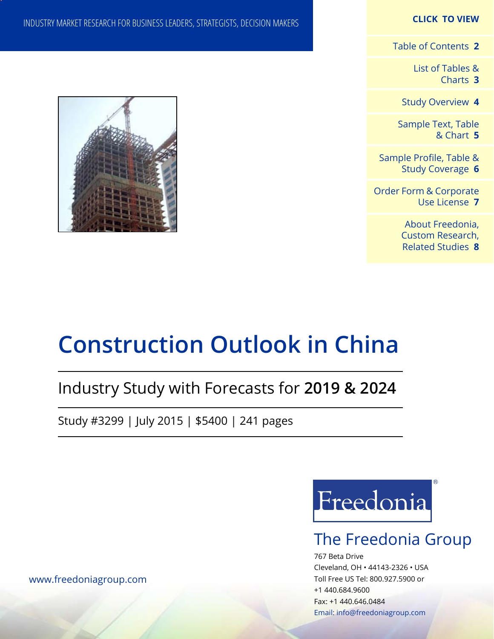### **CLICK TO VIEW**

[Table of Contents](#page-1-0) **2**

[List of Tables &](#page-2-0) [Charts](#page-2-0) **3**

[Study Overview](#page-3-0) **4**

[Sample Text, Table](#page-4-0) [& Chart](#page-4-0) **5**

[Sample Profile, Table &](#page-5-0) [Study Coverage](#page-5-0) **6**

[Order Form & Corporate](#page-6-0) [Use License](#page-6-0) **7**

> [About Freedonia,](#page-7-0) [Custom Research,](#page-7-0)  [Related Studies](#page-7-0) **8**

INDUSTRY MARKET RESEARCH FOR BUSINESS LEADERS, STRATEGISTS, DECISION MAKERS



# **Construction Outlook in China**

## Industry Study with Forecasts for **2019 & 2024**

Study #3299 | July 2015 | \$5400 | 241 pages



## The Freedonia Group

767 Beta Drive Cleveland, OH • 44143-2326 • USA Toll Free US Tel: 800.927.5900 or +1 440.684.9600 Fax: +1 440.646.0484 Email: [info@freedoniagroup.com](mailto:info@freedoniagroup.com)

[www.freedoniagroup.com](http://www.freedoniagroup.com/Home.aspx?ReferrerId=FM-Bro)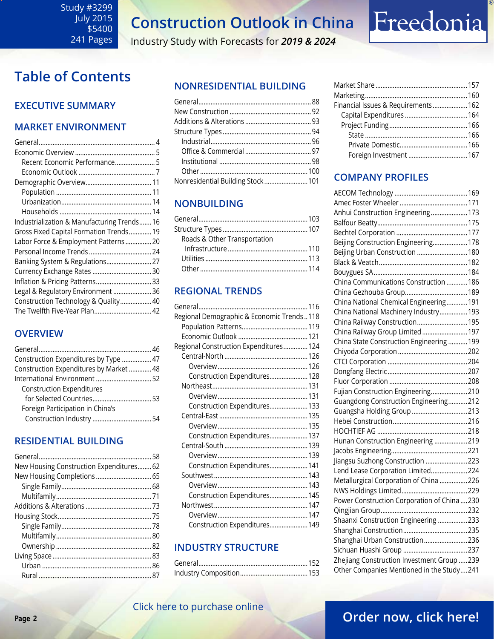Industry Study with Forecasts for *2019 & 2024*

## <span id="page-1-0"></span>**Table of Contents**

## **Executive Summary**

## **Market EnvironmenT**

| Recent Economic Performance 5               |
|---------------------------------------------|
|                                             |
|                                             |
|                                             |
|                                             |
|                                             |
| Industrialization & Manufacturing Trends 16 |
| Gross Fixed Capital Formation Trends 19     |
| Labor Force & Employment Patterns  20       |
|                                             |
| Banking System & Regulations 27             |
|                                             |
|                                             |
| Legal & Regulatory Environment  36          |
| Construction Technology & Quality 40        |
| The Twelfth Five-Year Plan 42               |
|                                             |

## **OVERVIEW**

| Construction Expenditures by Type  47   |  |
|-----------------------------------------|--|
| Construction Expenditures by Market  48 |  |
|                                         |  |
| <b>Construction Expenditures</b>        |  |
|                                         |  |
| Foreign Participation in China's        |  |
|                                         |  |
|                                         |  |

## **RESIDENTIAL BUILDING**

| New Housing Construction Expenditures 62 |  |
|------------------------------------------|--|
|                                          |  |
|                                          |  |
|                                          |  |
|                                          |  |
|                                          |  |
|                                          |  |
|                                          |  |
|                                          |  |
|                                          |  |
|                                          |  |
|                                          |  |

## **NONRESIDENTIAL BUILDING**

| Nonresidential Building Stock 101 |  |
|-----------------------------------|--|
|                                   |  |

## **NONBUILDING**

| Roads & Other Transportation |  |
|------------------------------|--|
|                              |  |
|                              |  |
|                              |  |

## **REGIONAL TRENDS**

| Regional Demographic & Economic Trends118 |  |
|-------------------------------------------|--|
|                                           |  |
|                                           |  |
| Regional Construction Expenditures 124    |  |
|                                           |  |
|                                           |  |
| Construction Expenditures 128             |  |
|                                           |  |
|                                           |  |
| Construction Expenditures 133             |  |
|                                           |  |
|                                           |  |
| Construction Expenditures 137             |  |
|                                           |  |
|                                           |  |
| Construction Expenditures 141             |  |
|                                           |  |
|                                           |  |
| Construction Expenditures 145             |  |
|                                           |  |
|                                           |  |
| Construction Expenditures 149             |  |

## **INDUSTRY STRUCTURE**

| Financial Issues & Requirements 162 |  |
|-------------------------------------|--|
|                                     |  |
|                                     |  |
|                                     |  |
|                                     |  |
| Foreign Investment  167             |  |
|                                     |  |

Freedonia

## **Company Profiles**

| Anhui Construction Engineering 173          |  |
|---------------------------------------------|--|
|                                             |  |
|                                             |  |
| Beijing Construction Engineering 178        |  |
| Beijing Urban Construction  180             |  |
|                                             |  |
|                                             |  |
| China Communications Construction  186      |  |
|                                             |  |
| China National Chemical Engineering 191     |  |
| China National Machinery Industry193        |  |
| China Railway Construction 195              |  |
| China Railway Group Limited  197            |  |
| China State Construction Engineering  199   |  |
|                                             |  |
|                                             |  |
|                                             |  |
|                                             |  |
| Fujian Construction Engineering210          |  |
| Guangdong Construction Engineering212       |  |
| Guangsha Holding Group 213                  |  |
|                                             |  |
|                                             |  |
| Hunan Construction Engineering 219          |  |
|                                             |  |
| Jiangsu Suzhong Construction 223            |  |
| Lend Lease Corporation Limited224           |  |
| Metallurgical Corporation of China 226      |  |
|                                             |  |
| Power Construction Corporation of China230  |  |
|                                             |  |
| Shaanxi Construction Engineering 233        |  |
|                                             |  |
| Shanghai Urban Construction 236             |  |
|                                             |  |
| Zhejiang Construction Investment Group  239 |  |
| Other Companies Mentioned in the Study241   |  |

## **Page 2 CHERRICK CONSTRUCTED BY A CHERRICK CONSTRUCTED BY A CHERRICK CONSTRUCTION**

## [Click here to purchase online](http://www.freedoniagroup.com/DocumentDetails.aspx?Referrerid=FM-Bro&StudyID=3299)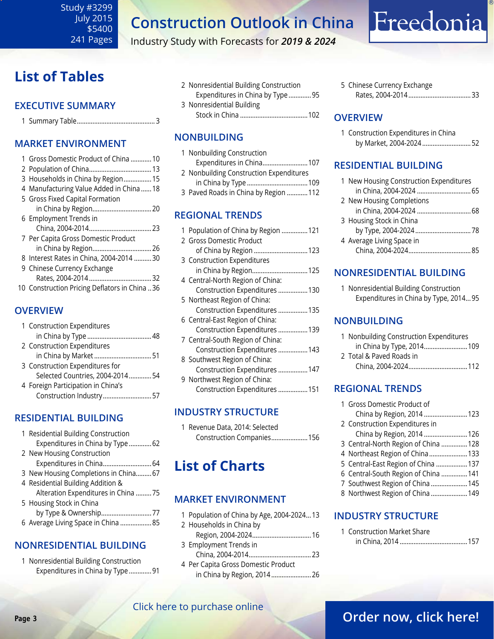Industry Study with Forecasts for *2019 & 2024*

## <span id="page-2-0"></span>**List of Tables**

## **Executive Summary**

|--|--|

## **Market EnvironmenT**

| 1 Gross Domestic Product of China  10         |
|-----------------------------------------------|
|                                               |
| 3 Households in China by Region 15            |
| 4 Manufacturing Value Added in China  18      |
| 5 Gross Fixed Capital Formation               |
|                                               |
| 6 Employment Trends in                        |
|                                               |
| 7 Per Capita Gross Domestic Product           |
| in China by Region 26                         |
| 8 Interest Rates in China, 2004-2014 30       |
| 9 Chinese Currency Exchange                   |
|                                               |
| 10 Construction Pricing Deflators in China 36 |

## **OVERVIEW**

| 1 Construction Expenditures        |  |
|------------------------------------|--|
|                                    |  |
| 2 Construction Expenditures        |  |
| in China by Market51               |  |
| 3 Construction Expenditures for    |  |
| Selected Countries, 2004-2014 54   |  |
| 4 Foreign Participation in China's |  |
| Construction Industry 57           |  |

## **RESIDENTIAL BUILDING**

| 1 Residential Building Construction   |  |
|---------------------------------------|--|
| Expenditures in China by Type  62     |  |
| 2 New Housing Construction            |  |
| Expenditures in China 64              |  |
| 3 New Housing Completions in China 67 |  |
| 4 Residential Building Addition &     |  |
| Alteration Expenditures in China  75  |  |
| 5 Housing Stock in China              |  |
| by Type & Ownership77                 |  |
| 6 Average Living Space in China  85   |  |

## **NONRESIDENTIAL BUILDING**

1 Nonresidential Building Construction Expenditures in China by Type .............91 2 Nonresidential Building Construction Expenditures in China by Type .............95 3 Nonresidential Building Stock in China .......................................102

## **NONBUILDING**

| 1 Nonbuilding Construction              |  |
|-----------------------------------------|--|
| Expenditures in China107                |  |
| 2 Nonbuilding Construction Expenditures |  |
|                                         |  |
| 3 Paved Roads in China by Region  112   |  |

## **REGIONAL TRENDS**

|  | 1 Population of China by Region 121 |
|--|-------------------------------------|
|  | 2 Gross Domestic Product            |
|  | of China by Region  123             |
|  | 3 Construction Expenditures         |
|  | in China by Region 125              |
|  | 4 Central-North Region of China:    |
|  | Construction Expenditures  130      |
|  | 5 Northeast Region of China:        |
|  | Construction Expenditures  135      |
|  | 6 Central-East Region of China:     |
|  | Construction Expenditures  139      |
|  | 7 Central-South Region of China:    |
|  | Construction Expenditures  143      |
|  | 8 Southwest Region of China:        |
|  | Construction Expenditures  147      |
|  | 9 Northwest Region of China:        |
|  | Construction Expenditures  151      |
|  |                                     |

## **INDUSTRY STRUCTURE**

1 Revenue Data, 2014: Selected Construction Companies.....................156

## **List of Charts**

## **MARKET ENVIRONMENT**

| 1 Population of China by Age, 2004-202413 |  |
|-------------------------------------------|--|
| 2 Households in China by                  |  |
|                                           |  |
| 3 Employment Trends in                    |  |
|                                           |  |
| 4 Per Capita Gross Domestic Product       |  |
| in China by Region, 2014 26               |  |

5 Chinese Currency Exchange Rates, 2004-2014....................................33

Freedonia

## **OVERVIEW**

| 1 Construction Expenditures in China |  |
|--------------------------------------|--|
| by Market, 2004-2024  52             |  |

## **RESIDENTIAL BUILDING**

| 1 New Housing Construction Expenditures |  |
|-----------------------------------------|--|
| in China, 2004-2024  65                 |  |
| 2 New Housing Completions               |  |
| in China, 2004-2024  68                 |  |
| 3 Housing Stock in China                |  |
|                                         |  |
| 4 Average Living Space in               |  |
|                                         |  |

## **NONRESIDENTIAL BUILDING**

1 Nonresidential Building Construction Expenditures in China by Type, 2014...95

## **NONBUILDING**

| 1 Nonbuilding Construction Expenditures |  |
|-----------------------------------------|--|
| in China by Type, 2014 109              |  |
| 2 Total & Paved Roads in                |  |
|                                         |  |

## **REGIONAL TRENDS**

|  | 1 Gross Domestic Product of          |  |
|--|--------------------------------------|--|
|  | China by Region, 2014 123            |  |
|  | 2 Construction Expenditures in       |  |
|  | China by Region, 2014  126           |  |
|  | 3 Central-North Region of China  128 |  |
|  | 4 Northeast Region of China  133     |  |
|  | 5 Central-East Region of China  137  |  |
|  | 6 Central-South Region of China  141 |  |
|  | 7 Southwest Region of China  145     |  |
|  | 8 Northwest Region of China  149     |  |
|  |                                      |  |

## **INDUSTRY STRUCTURE**

1 Construction Market Share in China, 2014 .......................................157

## [Click here to purchase online](http://www.freedoniagroup.com/DocumentDetails.aspx?Referrerid=FM-Bro&StudyID=3299)

## **Page 3 [Order now, click here!](#page-6-0)**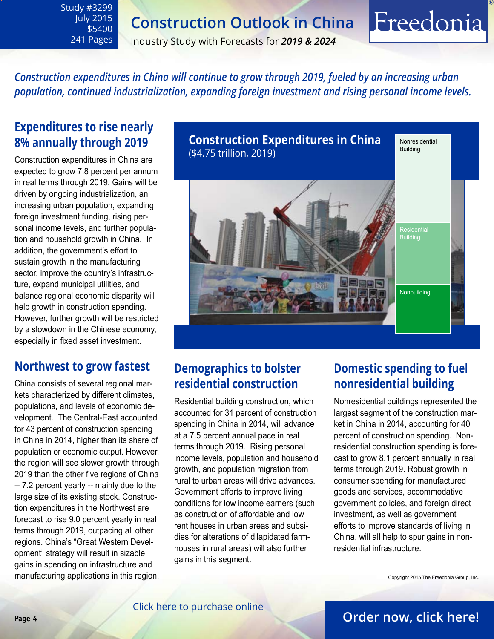Industry Study with Forecasts for *2019 & 2024*

*Construction expenditures in China will continue to grow through 2019, fueled by an increasing urban population, continued industrialization, expanding foreign investment and rising personal income levels.* 

## **Expenditures to rise nearly 8% annually through 2019**

<span id="page-3-0"></span>Study #3299 July 2015 \$5400 241 Pages

Construction expenditures in China are expected to grow 7.8 percent per annum in real terms through 2019. Gains will be driven by ongoing industrialization, an increasing urban population, expanding foreign investment funding, rising personal income levels, and further population and household growth in China. In addition, the government's effort to sustain growth in the manufacturing sector, improve the country's infrastructure, expand municipal utilities, and balance regional economic disparity will help growth in construction spending. However, further growth will be restricted by a slowdown in the Chinese economy, especially in fixed asset investment.

## **Northwest to grow fastest**

China consists of several regional markets characterized by different climates, populations, and levels of economic development. The Central-East accounted for 43 percent of construction spending in China in 2014, higher than its share of population or economic output. However, the region will see slower growth through 2019 than the other five regions of China -- 7.2 percent yearly -- mainly due to the large size of its existing stock. Construction expenditures in the Northwest are forecast to rise 9.0 percent yearly in real terms through 2019, outpacing all other regions. China's "Great Western Development" strategy will result in sizable gains in spending on infrastructure and manufacturing applications in this region.



## **Demographics to bolster residential construction**

Residential building construction, which accounted for 31 percent of construction spending in China in 2014, will advance at a 7.5 percent annual pace in real terms through 2019. Rising personal income levels, population and household growth, and population migration from rural to urban areas will drive advances. Government efforts to improve living conditions for low income earners (such as construction of affordable and low rent houses in urban areas and subsidies for alterations of dilapidated farmhouses in rural areas) will also further gains in this segment.

## **Domestic spending to fuel nonresidential building**

Freedonia

Nonresidential buildings represented the largest segment of the construction market in China in 2014, accounting for 40 percent of construction spending. Nonresidential construction spending is forecast to grow 8.1 percent annually in real terms through 2019. Robust growth in consumer spending for manufactured goods and services, accommodative government policies, and foreign direct investment, as well as government efforts to improve standards of living in China, will all help to spur gains in nonresidential infrastructure.

Copyright 2015 The Freedonia Group, Inc.

## **Page 4 [Order now, click here!](#page-6-0)**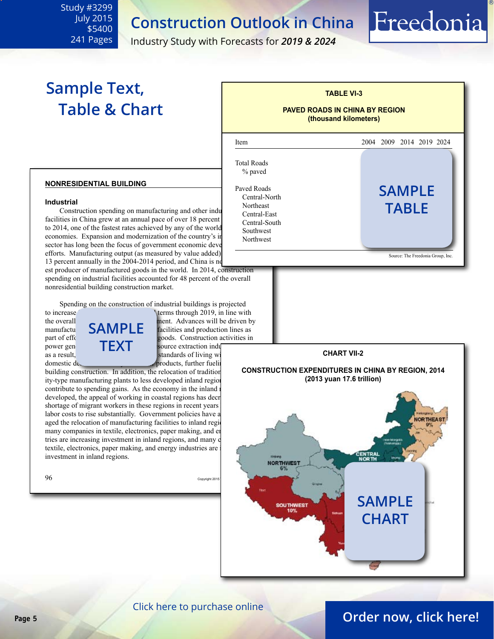Industry Study with Forecasts for *2019 & 2024*

## **Sample Text, Table & Chart**

<span id="page-4-0"></span>Study #3299 July 2015 \$5400 241 Pages



Freedonia

#### **nonresidential building**

#### **Industrial**

Construction spending on manufacturing and other indu facilities in China grew at an annual pace of over 18 percent to 2014, one of the fastest rates achieved by any of the world economies. Expansion and modernization of the country's in sector has long been the focus of government economic deve efforts. Manufacturing output (as measured by value added) 13 percent annually in the 2004-2014 period, and China is no

est producer of manufactured goods in the world. In 2014, construction spending on industrial facilities accounted for 48 percent of the overall nonresidential building construction market.

Spending on the construction of industrial buildings is projected<br>to increase<br>the construction of industrial buildings is projected<br>in the with



 $\text{terms through } 2019$ , in line with the overall  $\overrightarrow{SAMPI}$  ment. Advances will be driven by manufactu  $\overrightarrow{SAMPI}$  facilities and production lines as facilities and production lines as part of eff $\alpha$  on  $\alpha$  value and goods. Construction activities in

products, further fueling building construction. In addition, the relocation of tradition ity-type manufacturing plants to less developed inland region contribute to spending gains. As the economy in the inland developed, the appeal of working in coastal regions has decreased. shortage of migrant workers in these regions in recent years labor costs to rise substantially. Government policies have a aged the relocation of manufacturing facilities to inland region many companies in textile, electronics, paper making, and energy tries are increasing investment in inland regions, and many of textile, electronics, paper making, and energy industries are investment in inland regions.





#### [Click here to purchase online](http://www.freedoniagroup.com/DocumentDetails.aspx?Referrerid=FM-Bro&StudyID=3299)

## **Page 5 [Order now, click here!](#page-6-0)**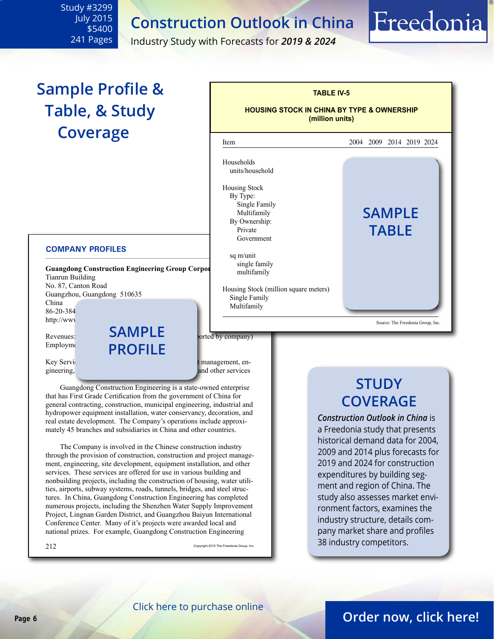Industry Study with Forecasts for *2019 & 2024*

# **Sample Profile & Table, & Study Coverage**

<span id="page-5-0"></span>Study #3299 July 2015 \$5400 241 Pages

#### **COMPANY PROFILES**

**Guangdong Construction Engineering Group Corpor** Tianrun Building No. 87, Canton Road Guangzhou, Guangdong 510635 China 86-20-384 http://www

 $R$ evenues:  $\overrightarrow{O}$   $\overrightarrow{P}$   $\overrightarrow{P}$  and  $\overrightarrow{L}$  borted by company) Employment: **PROFIL sample**

Key Services: construction, construction, construction, construction, construction, construction and project management, engineering, site development, equipment, and other services and other services

 Guangdong Construction Engineering is a state-owned enterprise that has First Grade Certification from the government of China for general contracting, construction, municipal engineering, industrial and hydropower equipment installation, water conservancy, decoration, and real estate development. The Company's operations include approximately 45 branches and subsidiaries in China and other countries.

 The Company is involved in the Chinese construction industry through the provision of construction, construction and project management, engineering, site development, equipment installation, and other services. These services are offered for use in various building and nonbuilding projects, including the construction of housing, water utilities, airports, subway systems, roads, tunnels, bridges, and steel structures. In China, Guangdong Construction Engineering has completed numerous projects, including the Shenzhen Water Supply Improvement Project, Lingnan Garden District, and Guangzhou Baiyun International Conference Center. Many of it's projects were awarded local and national prizes. For example, Guangdong Construction Engineering

 $212$  Copyright 2015 The Freedonia Group, Inc.



## **STUDY COVERAGE**

Freedonia

*Construction Outlook in China* is a Freedonia study that presents historical demand data for 2004, 2009 and 2014 plus forecasts for 2019 and 2024 for construction expenditures by building segment and region of China. The study also assesses market environment factors, examines the industry structure, details company market share and profiles 38 industry competitors.

## **Page 6 [Order now, click here!](#page-6-0)**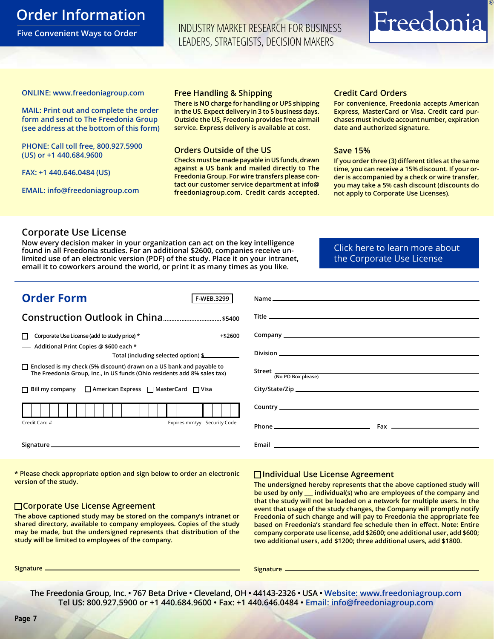## <span id="page-6-0"></span>**Order Information**

**Five Convenient Ways to Order**

INDUSTRY MARKET RESEARCH FOR BUSINESS LEADERS, STRATEGISTS, DECISION MAKERS

# Freedonia

#### **ONLINE: [www.freedoniagroup.com](http://www.freedoniagroup.com/DocumentDetails.aspx?Referrerid=FM-Bro&StudyID=3299)**

**MAIL: Print out and complete the order form and send to The Freedonia Group (see address at the bottom of this form)**

**PHONE: Call toll free, 800.927.5900 (US) or +1 440.684.9600**

**FAX: +1 440.646.0484 (US)**

**EMAIL: [info@freedoniagroup.com](mailto:info@freedoniagroup.com)**

#### **Free Handling & Shipping**

**There is NO charge for handling or UPS shipping in the US. Expect delivery in 3 to 5 business days. Outside the US, Freedonia provides free airmail service. Express delivery is available at cost.**

#### **Orders Outside of the US**

**Checks must be made payable in US funds, drawn against a US bank and mailed directly to The Freedonia Group. For wire transfers please contact our customer service department at info@ freedoniagroup.com. Credit cards accepted.**

#### **Credit Card Orders**

**For convenience, Freedonia accepts American Express, MasterCard or Visa. Credit card purchases must include account number, expiration date and authorized signature.**

#### **Save 15%**

**If you order three (3) different titles at the same time, you can receive a 15% discount. If your order is accompanied by a check or wire transfer, you may take a 5% cash discount (discounts do not apply to Corporate Use Licenses).**

#### **Corporate Use License**

**Now every decision maker in your organization can act on the key intelligence found in all Freedonia studies. For an additional \$2600, companies receive unlimited use of an electronic version (PDF) of the study. Place it on your intranet, email it to coworkers around the world, or print it as many times as you like.** 

[Click here to learn more about](http://www.freedoniagroup.com/pdf/FreedoniaCULBro.pdf)  [the Corporate Use License](http://www.freedoniagroup.com/pdf/FreedoniaCULBro.pdf)

| <b>Order Form</b><br>F-WEB.3299                                                                                                                         |                    |
|---------------------------------------------------------------------------------------------------------------------------------------------------------|--------------------|
|                                                                                                                                                         |                    |
|                                                                                                                                                         |                    |
| Corporate Use License (add to study price) *<br>$+ $2600$                                                                                               |                    |
| Additional Print Copies @ \$600 each *<br>Total (including selected option) \$                                                                          |                    |
| $\Box$ Enclosed is my check (5% discount) drawn on a US bank and payable to<br>The Freedonia Group, Inc., in US funds (Ohio residents add 8% sales tax) | (No PO Box please) |
| $\Box$ Bill my company $\Box$ American Express $\Box$ MasterCard $\Box$ Visa                                                                            |                    |
|                                                                                                                                                         |                    |
| Expires mm/yy Security Code<br>Credit Card #                                                                                                            |                    |
|                                                                                                                                                         |                    |

**\* Please check appropriate option and sign below to order an electronic version of the study.**

#### **Corporate Use License Agreement**

**The above captioned study may be stored on the company's intranet or shared directory, available to company employees. Copies of the study may be made, but the undersigned represents that distribution of the study will be limited to employees of the company.**

#### **Individual Use License Agreement**

**The undersigned hereby represents that the above captioned study will be used by only \_\_\_ individual(s) who are employees of the company and that the study will not be loaded on a network for multiple users. In the event that usage of the study changes, the Company will promptly notify Freedonia of such change and will pay to Freedonia the appropriate fee based on Freedonia's standard fee schedule then in effect. Note: Entire company corporate use license, add \$2600; one additional user, add \$600; two additional users, add \$1200; three additional users, add \$1800.**

**Signature Signature**

**The Freedonia Group, Inc. • 767 Beta Drive • Cleveland, OH • 44143-2326 • USA • [Website: www.freedoniagroup.com](http://www.freedoniagroup.com/Home.aspx?ReferrerId=FM-Bro) Tel US: 800.927.5900 or +1 440.684.9600 • Fax: +1 440.646.0484 • [Email: info@freedoniagroup.com](mailto:info@freedoniagroup.com)**